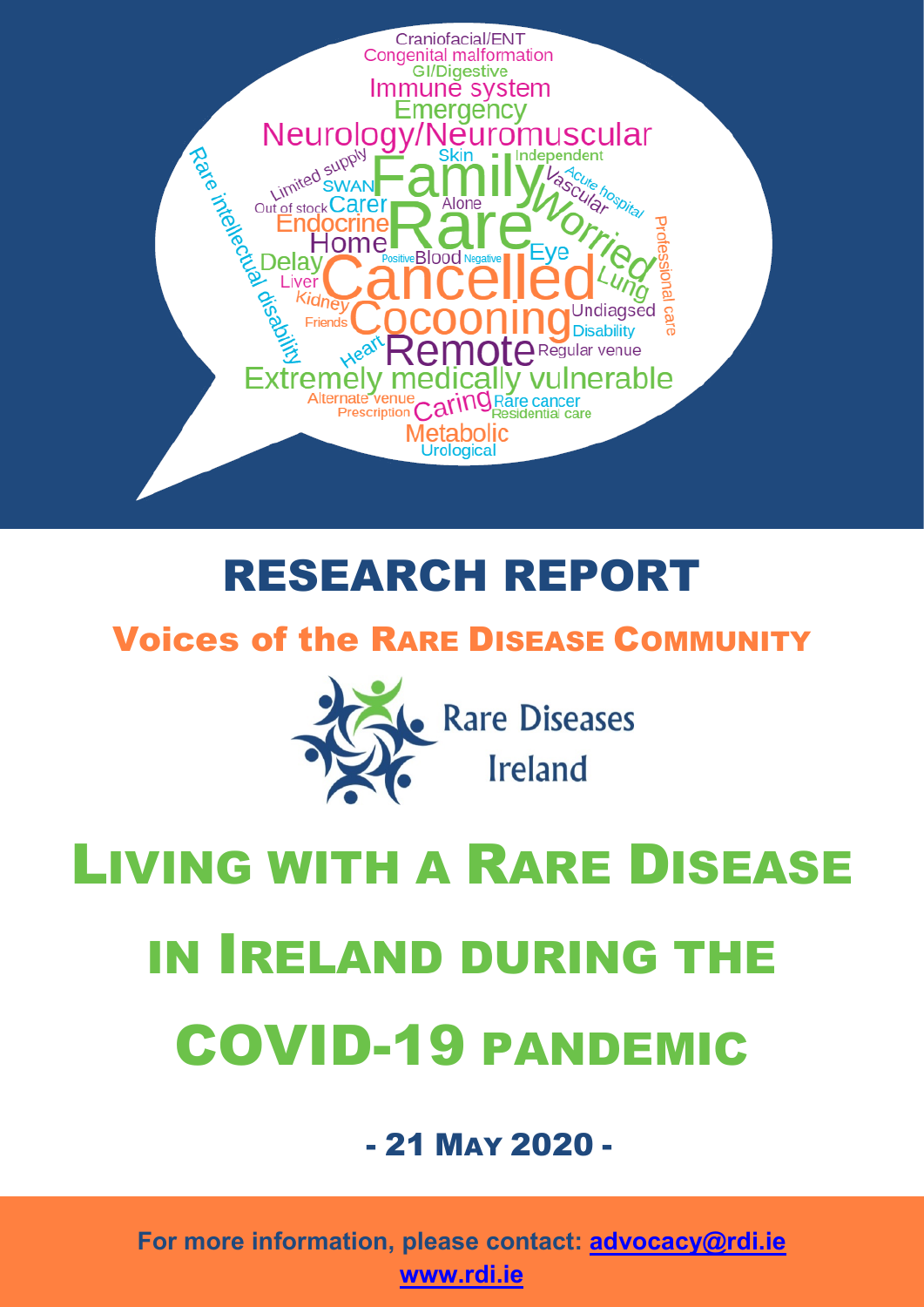

## RESEARCH REPORT

## Voices of the RARE DISEASE COMMUNITY



# LIVING WITH A RARE DISEASE

# IN IRELAND DURING THE COVID-19 PANDEMIC

## - 21 MAY 2020 -

**For more information, please contact: [advocacy@rdi.ie](mailto:advocacy@rdi.ie) [www.rdi.ie](http://www.rdi.ie/)**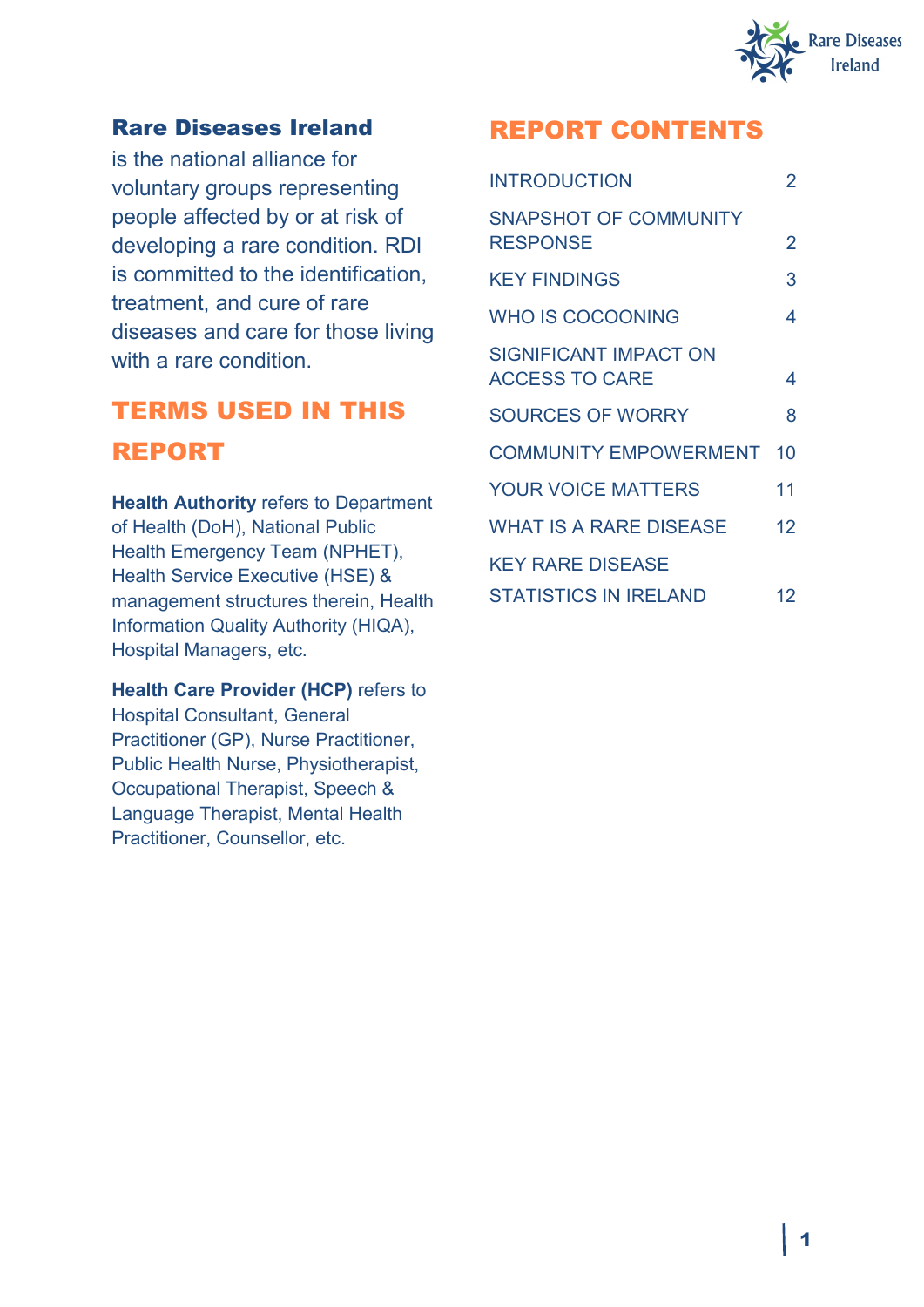

#### Rare Diseases Ireland

is the national alliance for voluntary groups representing people affected by or at risk of developing a rare condition. RDI is committed to the identification, treatment, and cure of rare diseases and care for those living with a rare condition.

## TERMS USED IN THIS REPORT

**Health Authority** refers to Department of Health (DoH), National Public Health Emergency Team (NPHET), Health Service Executive (HSE) & management structures therein, Health Information Quality Authority (HIQA), Hospital Managers, etc.

**Health Care Provider (HCP)** refers to Hospital Consultant, General Practitioner (GP), Nurse Practitioner, Public Health Nurse, Physiotherapist, Occupational Therapist, Speech & Language Therapist, Mental Health Practitioner, Counsellor, etc.

#### REPORT CONTENTS

| <b>INTRODUCTION</b>                                   | 2  |
|-------------------------------------------------------|----|
| <b>SNAPSHOT OF COMMUNITY</b><br><b>RESPONSE</b>       | 2  |
| <b>KEY FINDINGS</b>                                   | 3  |
| <b>WHO IS COCOONING</b>                               | 4  |
| <b>SIGNIFICANT IMPACT ON</b><br><b>ACCESS TO CARE</b> | 4  |
| <b>SOURCES OF WORRY</b>                               | 8  |
| <b>COMMUNITY EMPOWERMENT</b>                          | 10 |
| <b>YOUR VOICE MATTERS</b>                             | 11 |
| <b>WHAT IS A RARE DISEASE</b>                         | 12 |
| <b>KEY RARE DISEASE</b>                               |    |
| <b>STATISTICS IN IRELAND</b>                          | 12 |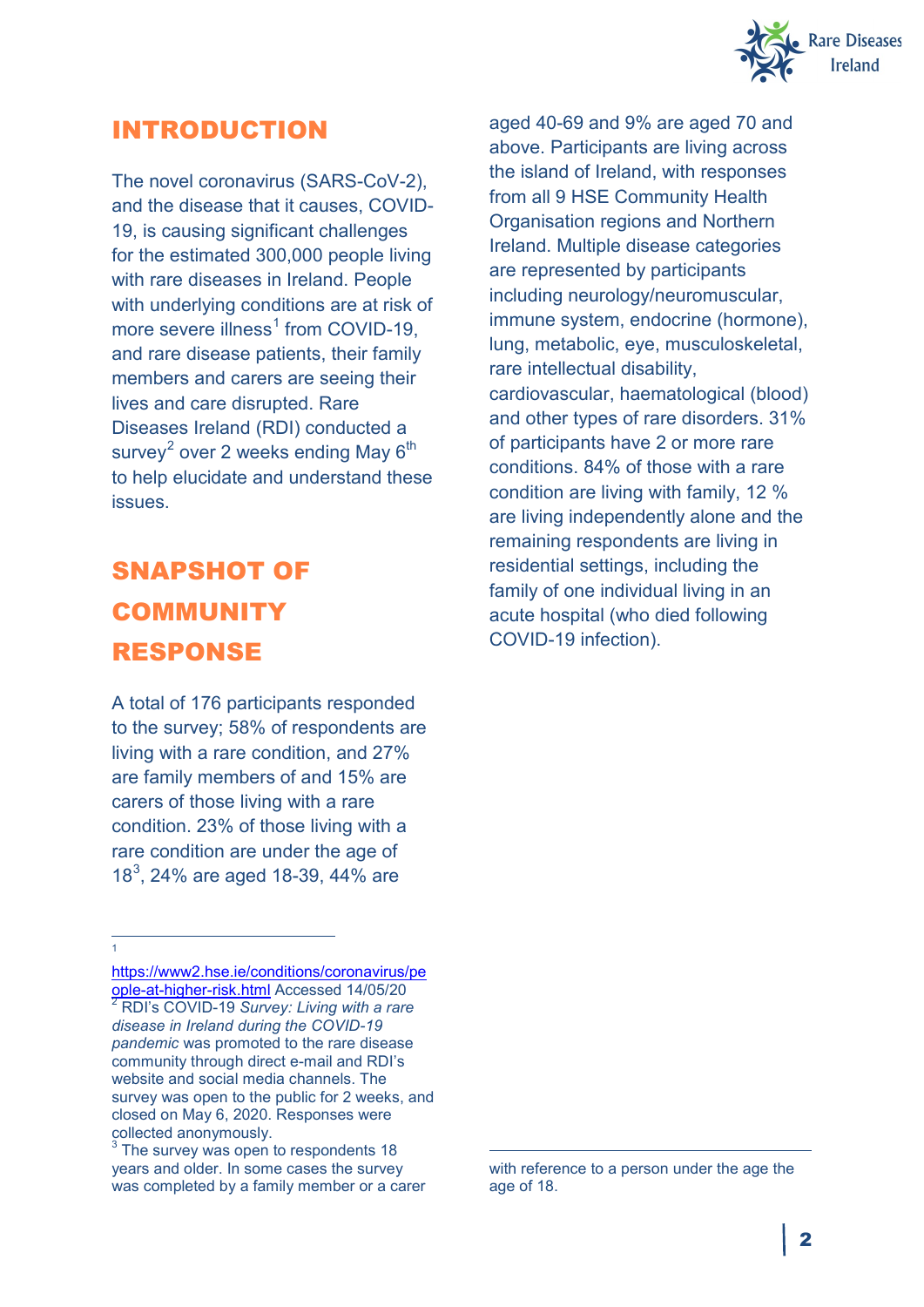

#### INTRODUCTION

The novel coronavirus (SARS-CoV-2), and the disease that it causes, COVID-19, is causing significant challenges for the estimated 300,000 people living with rare diseases in Ireland. People with underlying conditions are at risk of more severe illness<sup>[1](#page-2-0)</sup> from COVID-19, and rare disease patients, their family members and carers are seeing their lives and care disrupted. Rare Diseases Ireland (RDI) conducted a survey<sup>[2](#page-2-1)</sup> over 2 weeks ending May  $6<sup>th</sup>$ to help elucidate and understand these issues.

## SNAPSHOT OF COMMUNITY RESPONSE

A total of 176 participants responded to the survey; 58% of respondents are living with a rare condition, and 27% are family members of and 15% are carers of those living with a rare condition. 23% of those living with a rare condition are under the age of 18[3](#page-2-2) , 24% are aged 18-39, 44% are

 $\frac{1}{1}$ 

<span id="page-2-1"></span><span id="page-2-0"></span>[https://www2.hse.ie/conditions/coronavirus/pe](https://www2.hse.ie/conditions/coronavirus/people-at-higher-risk.html) <u>[ople-at-higher-risk.html](https://www2.hse.ie/conditions/coronavirus/people-at-higher-risk.html)</u> Accessed 14/05/20 <sup>2</sup> RDI's COVID-19 *Survey: Living with a rare disease in Ireland during the COVID-19 pandemic* was promoted to the rare disease community through direct e-mail and RDI's website and social media channels. The survey was open to the public for 2 weeks, and closed on May 6, 2020. Responses were collected anonymously.

<span id="page-2-2"></span> $3$  The survey was open to respondents 18 years and older. In some cases the survey was completed by a family member or a carer

aged 40-69 and 9% are aged 70 and above. Participants are living across the island of Ireland, with responses from all 9 HSE Community Health Organisation regions and Northern Ireland. Multiple disease categories are represented by participants including neurology/neuromuscular, immune system, endocrine (hormone), lung, metabolic, eye, musculoskeletal, rare intellectual disability, cardiovascular, haematological (blood) and other types of rare disorders. 31% of participants have 2 or more rare conditions. 84% of those with a rare condition are living with family, 12 % are living independently alone and the remaining respondents are living in residential settings, including the family of one individual living in an acute hospital (who died following COVID-19 infection).

 $\overline{a}$ 

with reference to a person under the age the age of 18.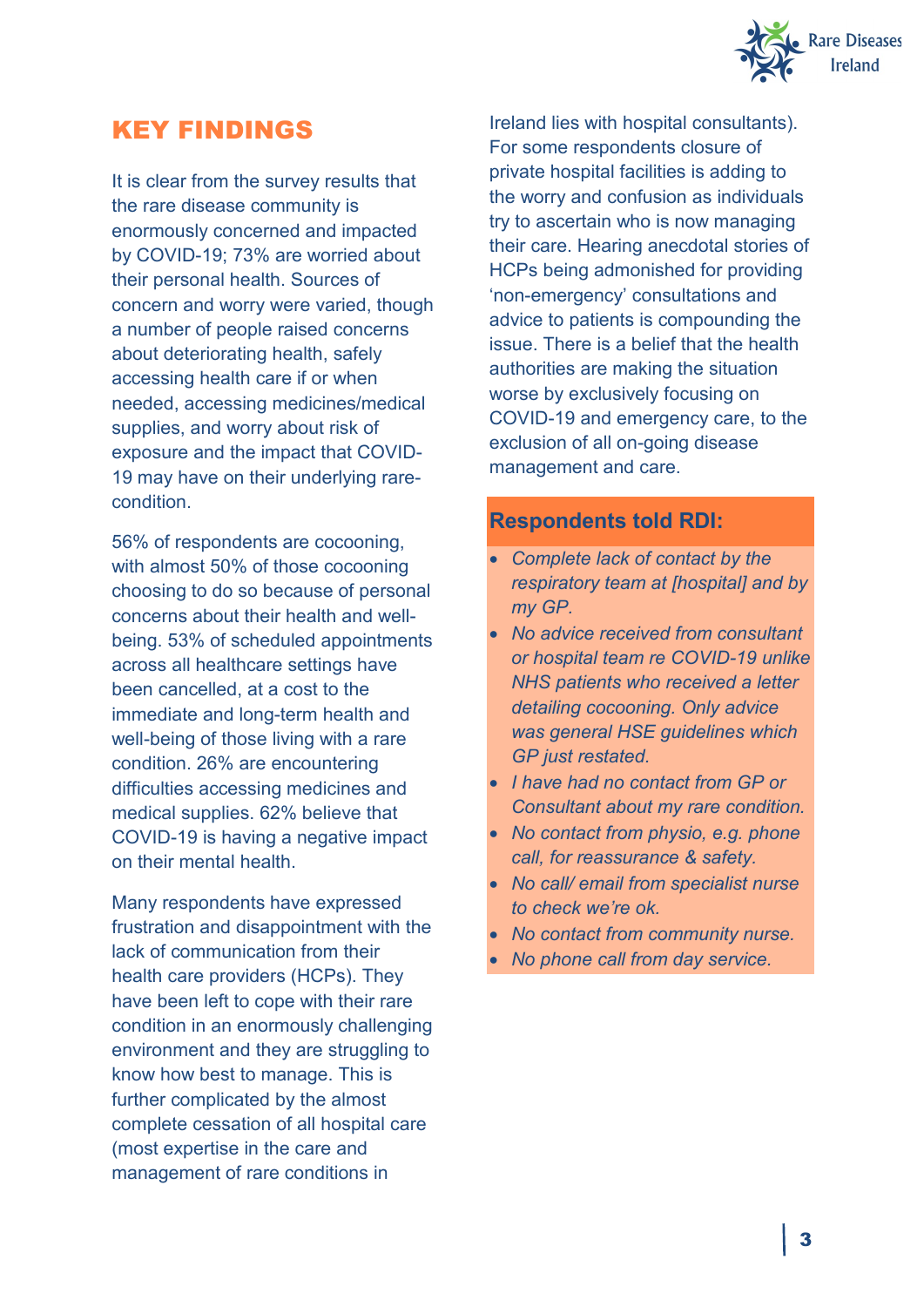

#### KEY FINDINGS

It is clear from the survey results that the rare disease community is enormously concerned and impacted by COVID-19; 73% are worried about their personal health. Sources of concern and worry were varied, though a number of people raised concerns about deteriorating health, safely accessing health care if or when needed, accessing medicines/medical supplies, and worry about risk of exposure and the impact that COVID-19 may have on their underlying rarecondition.

56% of respondents are cocooning, with almost 50% of those cocooning choosing to do so because of personal concerns about their health and wellbeing. 53% of scheduled appointments across all healthcare settings have been cancelled, at a cost to the immediate and long-term health and well-being of those living with a rare condition. 26% are encountering difficulties accessing medicines and medical supplies. 62% believe that COVID-19 is having a negative impact on their mental health.

Many respondents have expressed frustration and disappointment with the lack of communication from their health care providers (HCPs). They have been left to cope with their rare condition in an enormously challenging environment and they are struggling to know how best to manage. This is further complicated by the almost complete cessation of all hospital care (most expertise in the care and management of rare conditions in

Ireland lies with hospital consultants). For some respondents closure of private hospital facilities is adding to the worry and confusion as individuals try to ascertain who is now managing their care. Hearing anecdotal stories of HCPs being admonished for providing 'non-emergency' consultations and advice to patients is compounding the issue. There is a belief that the health authorities are making the situation worse by exclusively focusing on COVID-19 and emergency care, to the exclusion of all on-going disease management and care.

- *Complete lack of contact by the respiratory team at [hospital] and by my GP.*
- *No advice received from consultant or hospital team re COVID-19 unlike NHS patients who received a letter detailing cocooning. Only advice was general HSE guidelines which GP just restated.*
- *I have had no contact from GP or Consultant about my rare condition.*
- *No contact from physio, e.g. phone call, for reassurance & safety.*
- *No call/ email from specialist nurse to check we're ok.*
- *No contact from community nurse.*
- *No phone call from day service.*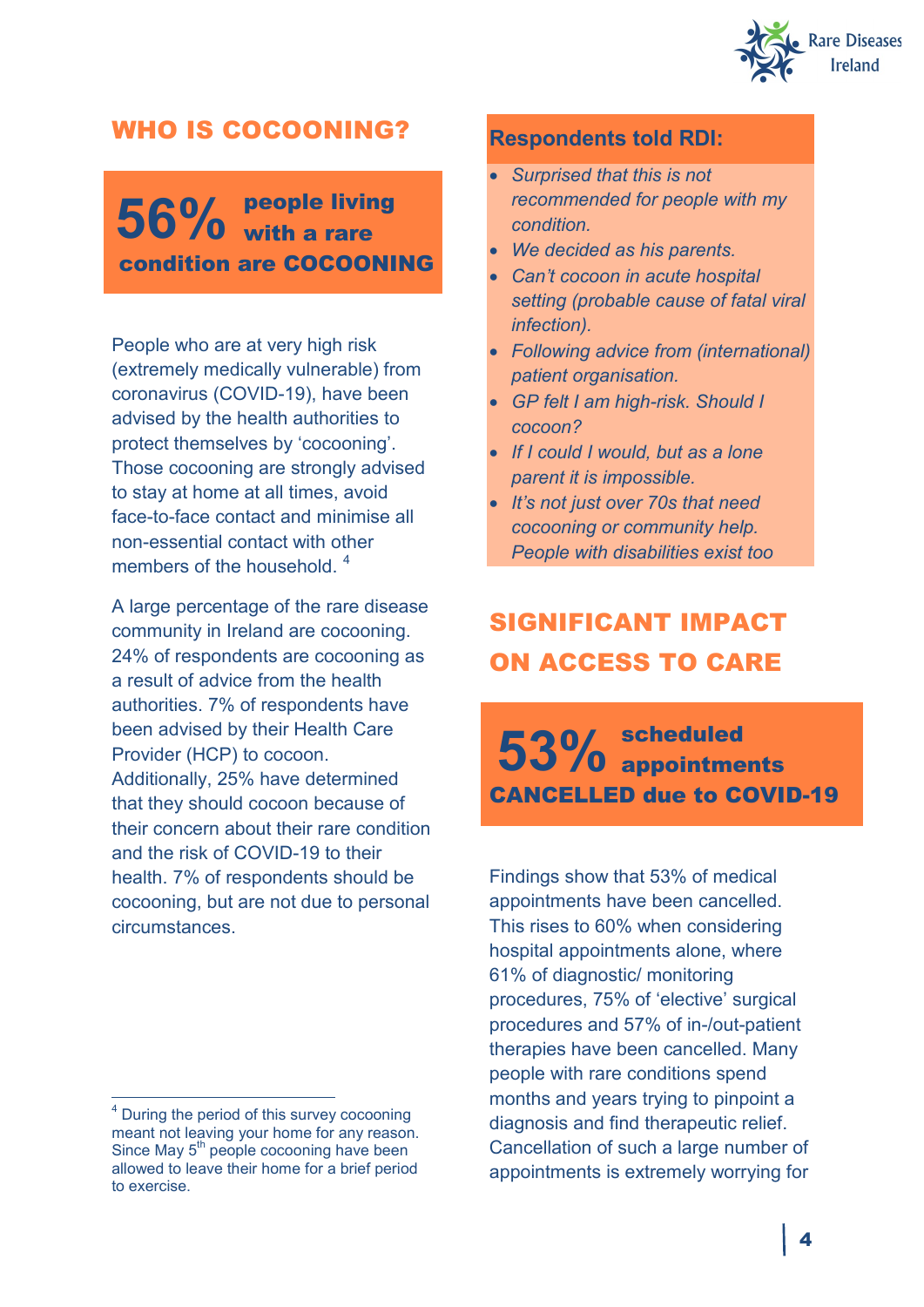

#### WHO IS COCOONING?

people living 56% People livir condition are COCOONING

People who are at very high risk (extremely medically vulnerable) from coronavirus (COVID-19), have been advised by the health authorities to protect themselves by 'cocooning'. Those cocooning are strongly advised to stay at home at all times, avoid face-to-face contact and minimise all non-essential contact with other members of the household.<sup>[4](#page-4-0)</sup>

A large percentage of the rare disease community in Ireland are cocooning. 24% of respondents are cocooning as a result of advice from the health authorities. 7% of respondents have been advised by their Health Care Provider (HCP) to cocoon. Additionally, 25% have determined that they should cocoon because of their concern about their rare condition and the risk of COVID-19 to their health. 7% of respondents should be cocooning, but are not due to personal circumstances.

#### **Respondents told RDI:**

- *Surprised that this is not recommended for people with my condition.*
- *We decided as his parents.*
- *Can't cocoon in acute hospital setting (probable cause of fatal viral infection).*
- *Following advice from (international) patient organisation.*
- *GP felt I am high-risk. Should I cocoon?*
- *If I could I would, but as a lone parent it is impossible.*
- *It's not just over 70s that need cocooning or community help. People with disabilities exist too*

### SIGNIFICANT IMPACT ON ACCESS TO CARE

scheduled 53% scheduled<br> **53%** appointments CANCELLED due to COVID-19

Findings show that 53% of medical appointments have been cancelled. This rises to 60% when considering hospital appointments alone, where 61% of diagnostic/ monitoring procedures, 75% of 'elective' surgical procedures and 57% of in-/out-patient therapies have been cancelled. Many people with rare conditions spend months and years trying to pinpoint a diagnosis and find therapeutic relief. Cancellation of such a large number of appointments is extremely worrying for

<span id="page-4-0"></span>During the period of this survey cocooning meant not leaving your home for any reason. Since May 5<sup>th</sup> people cocooning have been allowed to leave their home for a brief period to exercise.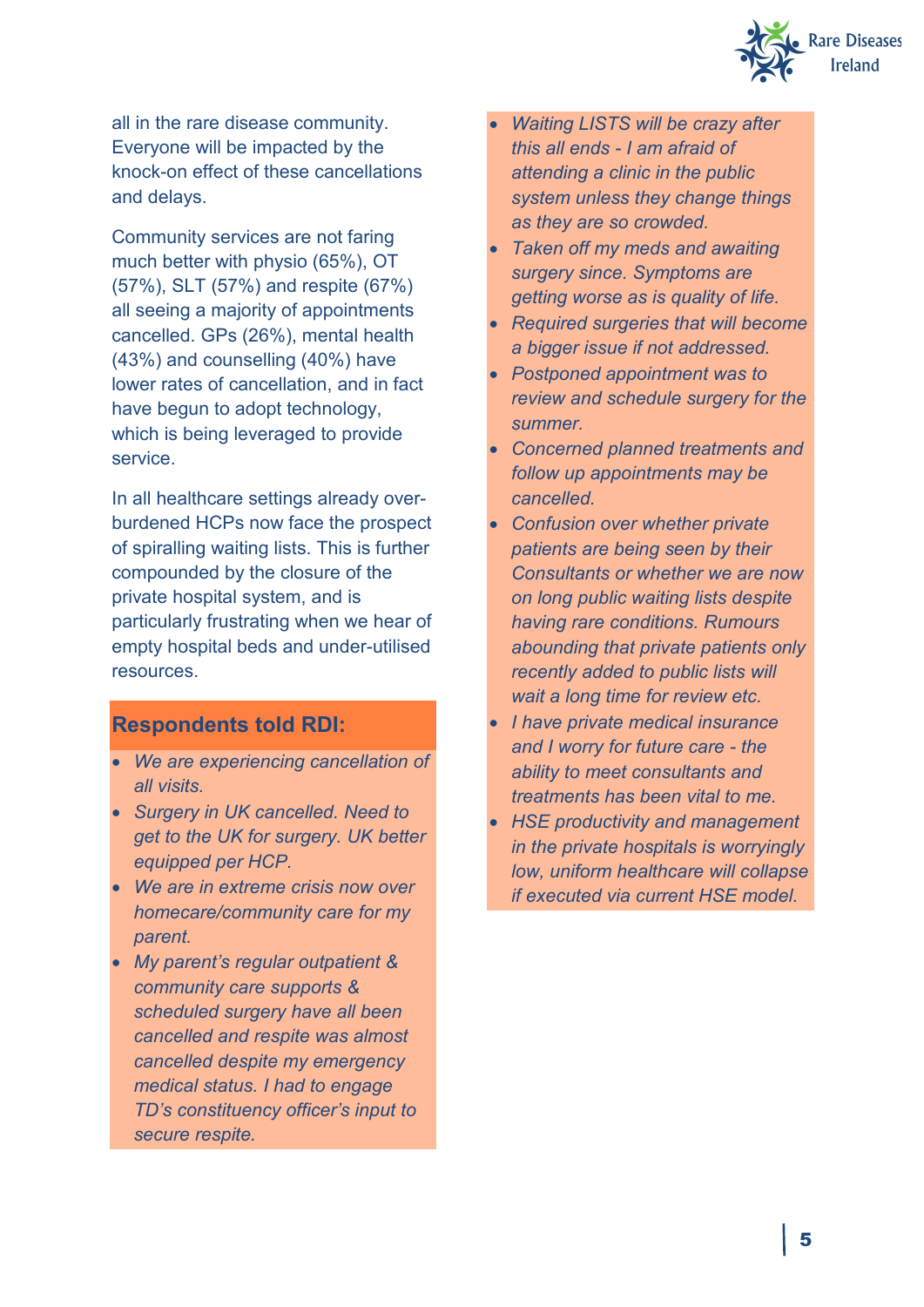

all in the rare disease community. Everyone will be impacted by the knock-on effect of these cancellations and delays.

Community services are not faring much better with physio (65%), OT (57%), SLT (57%) and respite (67%) all seeing a majority of appointments cancelled. GPs (26%), mental health (43%) and counselling (40%) have lower rates of cancellation, and in fact have begun to adopt technology, which is being leveraged to provide service.

In all healthcare settings already overburdened HCPs now face the prospect of spiralling waiting lists. This is further compounded by the closure of the private hospital system, and is particularly frustrating when we hear of empty hospital beds and under-utilised resources.

- *We are experiencing cancellation of all visits.*
- *Surgery in UK cancelled. Need to get to the UK for surgery. UK better equipped per HCP.*
- *We are in extreme crisis now over homecare/community care for my parent.*
- *My parent's regular outpatient & community care supports & scheduled surgery have all been cancelled and respite was almost cancelled despite my emergency medical status. I had to engage TD's constituency officer's input to secure respite.*
- *Waiting LISTS will be crazy after this all ends - I am afraid of attending a clinic in the public system unless they change things as they are so crowded.*
- *Taken off my meds and awaiting surgery since. Symptoms are getting worse as is quality of life.*
- *Required surgeries that will become a bigger issue if not addressed.*
- *Postponed appointment was to review and schedule surgery for the summer.*
- *Concerned planned treatments and follow up appointments may be cancelled.*
- *Confusion over whether private patients are being seen by their Consultants or whether we are now on long public waiting lists despite having rare conditions. Rumours abounding that private patients only recently added to public lists will wait a long time for review etc.*
- *I have private medical insurance and I worry for future care - the ability to meet consultants and treatments has been vital to me.*
- *HSE productivity and management in the private hospitals is worryingly low, uniform healthcare will collapse if executed via current HSE model.*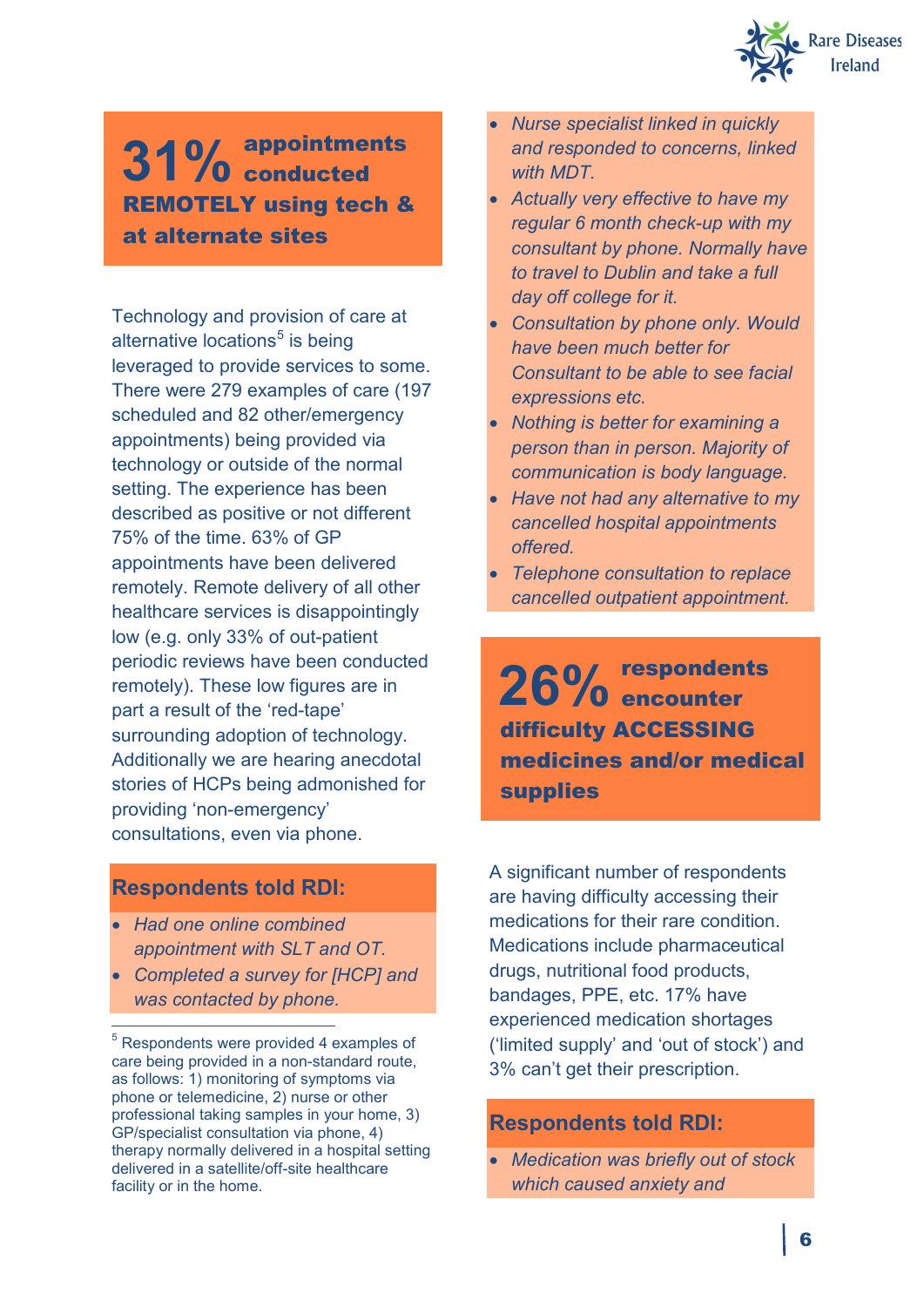

appointments 31% appointme REMOTELY using tech & at alternate sites

Technology and provision of care at alternative locations $5$  is being leveraged to provide services to some. There were 279 examples of care (197 scheduled and 82 other/emergency appointments) being provided via technology or outside of the normal setting. The experience has been described as positive or not different 75% of the time. 63% of GP appointments have been delivered remotely. Remote delivery of all other healthcare services is disappointingly low (e.g. only 33% of out-patient periodic reviews have been conducted remotely). These low figures are in part a result of the 'red-tape' surrounding adoption of technology. Additionally we are hearing anecdotal stories of HCPs being admonished for providing 'non-emergency' consultations, even via phone.

#### **Respondents told RDI:**

- *Had one online combined appointment with SLT and OT.*
- *Completed a survey for [HCP] and was contacted by phone.*

<span id="page-6-0"></span> 5 Respondents were provided 4 examples of care being provided in a non-standard route, as follows: 1) monitoring of symptoms via phone or telemedicine, 2) nurse or other professional taking samples in your home, 3) GP/specialist consultation via phone, 4) therapy normally delivered in a hospital setting delivered in a satellite/off-site healthcare facility or in the home.

- *Nurse specialist linked in quickly and responded to concerns, linked with MDT.*
- *Actually very effective to have my regular 6 month check-up with my consultant by phone. Normally have to travel to Dublin and take a full day off college for it.*
- *Consultation by phone only. Would have been much better for Consultant to be able to see facial expressions etc.*
- *Nothing is better for examining a person than in person. Majority of communication is body language.*
- *Have not had any alternative to my cancelled hospital appointments offered.*
- *Telephone consultation to replace cancelled outpatient appointment.*

respondents 26% responden difficulty ACCESSING medicines and/or medical supplies

A significant number of respondents are having difficulty accessing their medications for their rare condition. Medications include pharmaceutical drugs, nutritional food products, bandages, PPE, etc. 17% have experienced medication shortages ('limited supply' and 'out of stock') and 3% can't get their prescription.

#### **Respondents told RDI:**

• *Medication was briefly out of stock which caused anxiety and*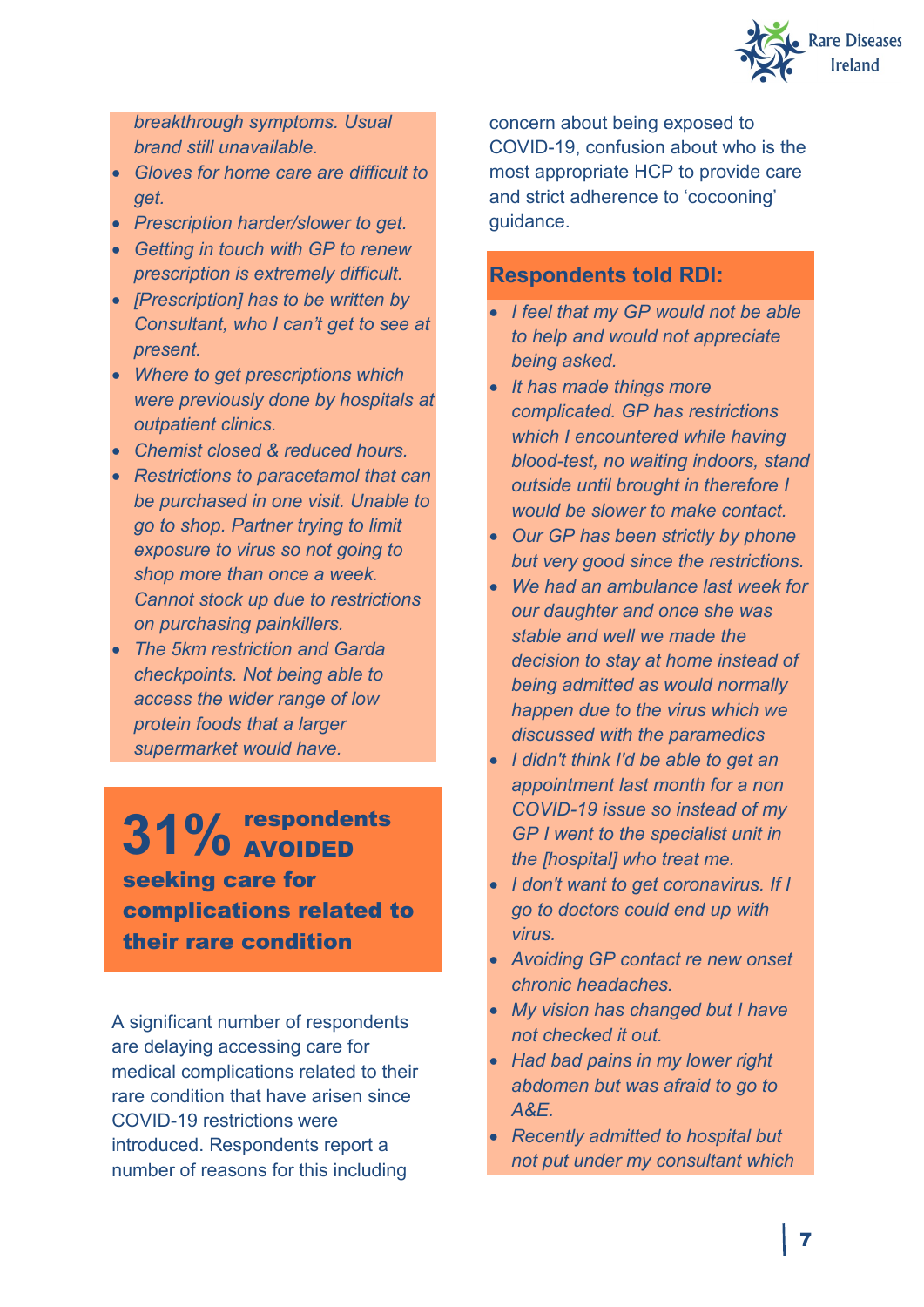

*breakthrough symptoms. Usual brand still unavailable.* 

- *Gloves for home care are difficult to get.*
- *Prescription harder/slower to get.*
- *Getting in touch with GP to renew prescription is extremely difficult.*
- *[Prescription] has to be written by Consultant, who I can't get to see at present.*
- *Where to get prescriptions which were previously done by hospitals at outpatient clinics.*
- *Chemist closed & reduced hours.*
- *Restrictions to paracetamol that can be purchased in one visit. Unable to go to shop. Partner trying to limit exposure to virus so not going to shop more than once a week. Cannot stock up due to restrictions on purchasing painkillers.*
- *The 5km restriction and Garda checkpoints. Not being able to access the wider range of low protein foods that a larger supermarket would have.*

respondents 31% **Responde** seeking care for complications related to their rare condition

A significant number of respondents are delaying accessing care for medical complications related to their rare condition that have arisen since COVID-19 restrictions were introduced. Respondents report a number of reasons for this including

concern about being exposed to COVID-19, confusion about who is the most appropriate HCP to provide care and strict adherence to 'cocooning' guidance.

- *I feel that my GP would not be able to help and would not appreciate being asked.*
- *It has made things more complicated. GP has restrictions which I encountered while having blood-test, no waiting indoors, stand outside until brought in therefore I would be slower to make contact.*
- *Our GP has been strictly by phone but very good since the restrictions.*
- *We had an ambulance last week for our daughter and once she was stable and well we made the decision to stay at home instead of being admitted as would normally happen due to the virus which we discussed with the paramedics*
- *I didn't think I'd be able to get an appointment last month for a non COVID-19 issue so instead of my GP I went to the specialist unit in the [hospital] who treat me.*
- *I don't want to get coronavirus. If I go to doctors could end up with virus.*
- *Avoiding GP contact re new onset chronic headaches.*
- *My vision has changed but I have not checked it out.*
- *Had bad pains in my lower right abdomen but was afraid to go to A&E.*
- *Recently admitted to hospital but not put under my consultant which*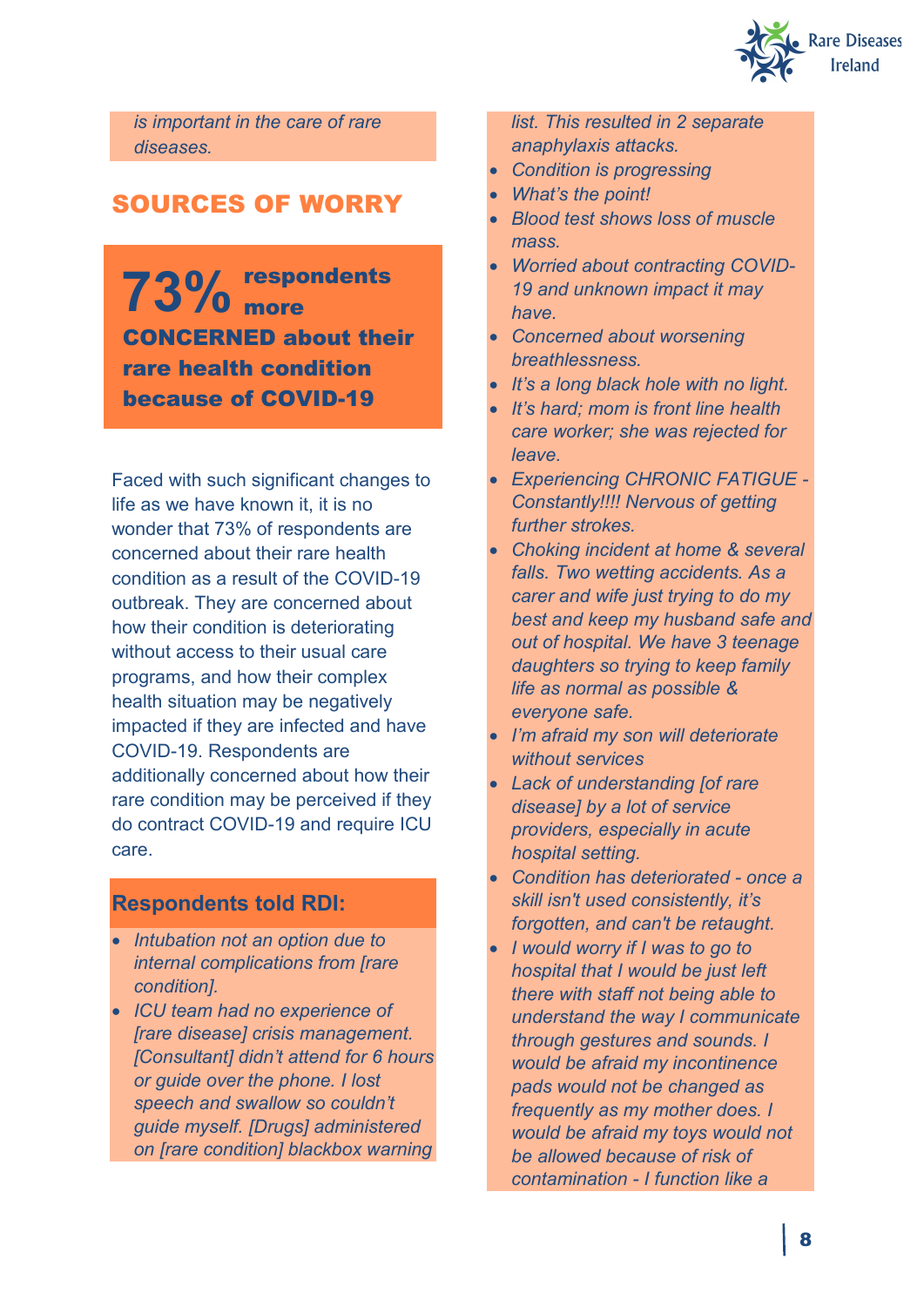

*is important in the care of rare diseases.*

#### SOURCES OF WORRY

respondents more **73%**CONCERNED about their rare health condition because of COVID-19

Faced with such significant changes to life as we have known it, it is no wonder that 73% of respondents are concerned about their rare health condition as a result of the COVID-19 outbreak. They are concerned about how their condition is deteriorating without access to their usual care programs, and how their complex health situation may be negatively impacted if they are infected and have COVID-19. Respondents are additionally concerned about how their rare condition may be perceived if they do contract COVID-19 and require ICU care.

#### **Respondents told RDI:**

- *Intubation not an option due to internal complications from [rare condition].*
- *ICU team had no experience of [rare disease] crisis management. [Consultant] didn't attend for 6 hours or guide over the phone. I lost speech and swallow so couldn't guide myself. [Drugs] administered on [rare condition] blackbox warning*

*list. This resulted in 2 separate anaphylaxis attacks.*

- *Condition is progressing*
- *What's the point!*
- *Blood test shows loss of muscle mass.*
- *Worried about contracting COVID-19 and unknown impact it may have.*
- *Concerned about worsening breathlessness.*
- *It's a long black hole with no light.*
- *It's hard; mom is front line health care worker; she was rejected for leave.*
- *Experiencing CHRONIC FATIGUE - Constantly!!!! Nervous of getting further strokes.*
- *Choking incident at home & several falls. Two wetting accidents. As a carer and wife just trying to do my best and keep my husband safe and out of hospital. We have 3 teenage daughters so trying to keep family life as normal as possible & everyone safe.*
- *I'm afraid my son will deteriorate without services*
- *Lack of understanding [of rare disease] by a lot of service providers, especially in acute hospital setting.*
- *Condition has deteriorated - once a skill isn't used consistently, it's forgotten, and can't be retaught.*
- *I would worry if I was to go to hospital that I would be just left there with staff not being able to understand the way I communicate through gestures and sounds. I would be afraid my incontinence pads would not be changed as frequently as my mother does. I would be afraid my toys would not be allowed because of risk of contamination - I function like a*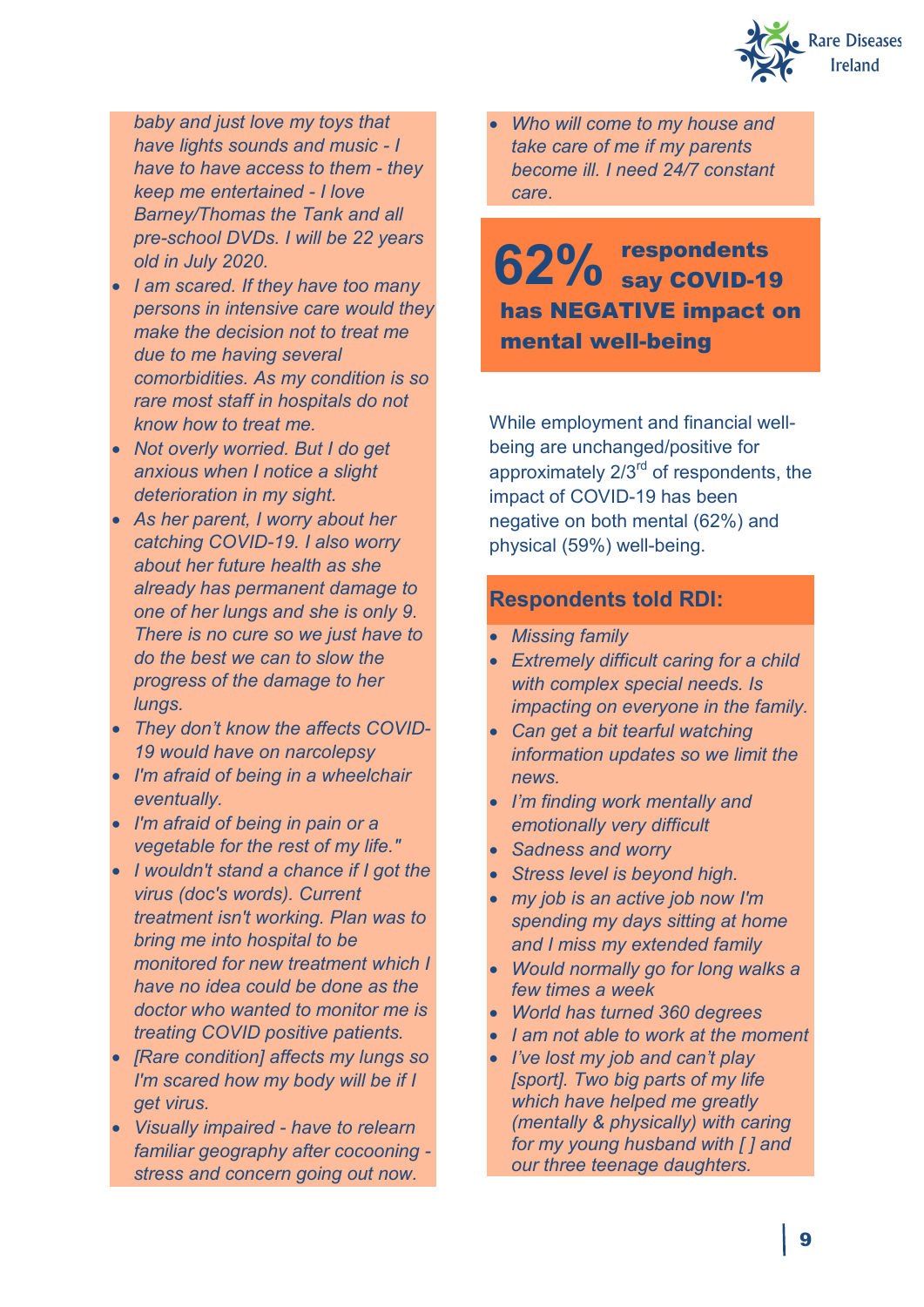

*baby and just love my toys that have lights sounds and music - I have to have access to them - they keep me entertained - I love Barney/Thomas the Tank and all pre-school DVDs. I will be 22 years old in July 2020.*

- *I am scared. If they have too many persons in intensive care would they make the decision not to treat me due to me having several comorbidities. As my condition is so rare most staff in hospitals do not know how to treat me.*
- *Not overly worried. But I do get anxious when I notice a slight deterioration in my sight.*
- *As her parent, I worry about her catching COVID-19. I also worry about her future health as she already has permanent damage to one of her lungs and she is only 9. There is no cure so we just have to do the best we can to slow the progress of the damage to her lungs.*
- *They don't know the affects COVID-19 would have on narcolepsy*
- *I'm afraid of being in a wheelchair eventually.*
- *I'm afraid of being in pain or a vegetable for the rest of my life."*
- *I wouldn't stand a chance if I got the virus (doc's words). Current treatment isn't working. Plan was to bring me into hospital to be monitored for new treatment which I have no idea could be done as the doctor who wanted to monitor me is treating COVID positive patients.*
- *[Rare condition] affects my lungs so I'm scared how my body will be if I get virus.*
- *Visually impaired - have to relearn familiar geography after cocooning stress and concern going out now.*

• *Who will come to my house and take care of me if my parents become ill. I need 24/7 constant care*.

respondents say COVID-19 has NEGATIVE impact on mental well-being **62%**

While employment and financial wellbeing are unchanged/positive for approximately 2/3<sup>rd</sup> of respondents, the impact of COVID-19 has been negative on both mental (62%) and physical (59%) well-being.

- *Missing family*
- *Extremely difficult caring for a child with complex special needs. Is impacting on everyone in the family.*
- *Can get a bit tearful watching information updates so we limit the news.*
- *I'm finding work mentally and emotionally very difficult*
- *Sadness and worry*
- *Stress level is beyond high.*
- *my job is an active job now I'm spending my days sitting at home and I miss my extended family*
- *Would normally go for long walks a few times a week*
- *World has turned 360 degrees*
- *I am not able to work at the moment*
- *I've lost my job and can't play [sport]. Two big parts of my life which have helped me greatly (mentally & physically) with caring for my young husband with [ ] and our three teenage daughters.*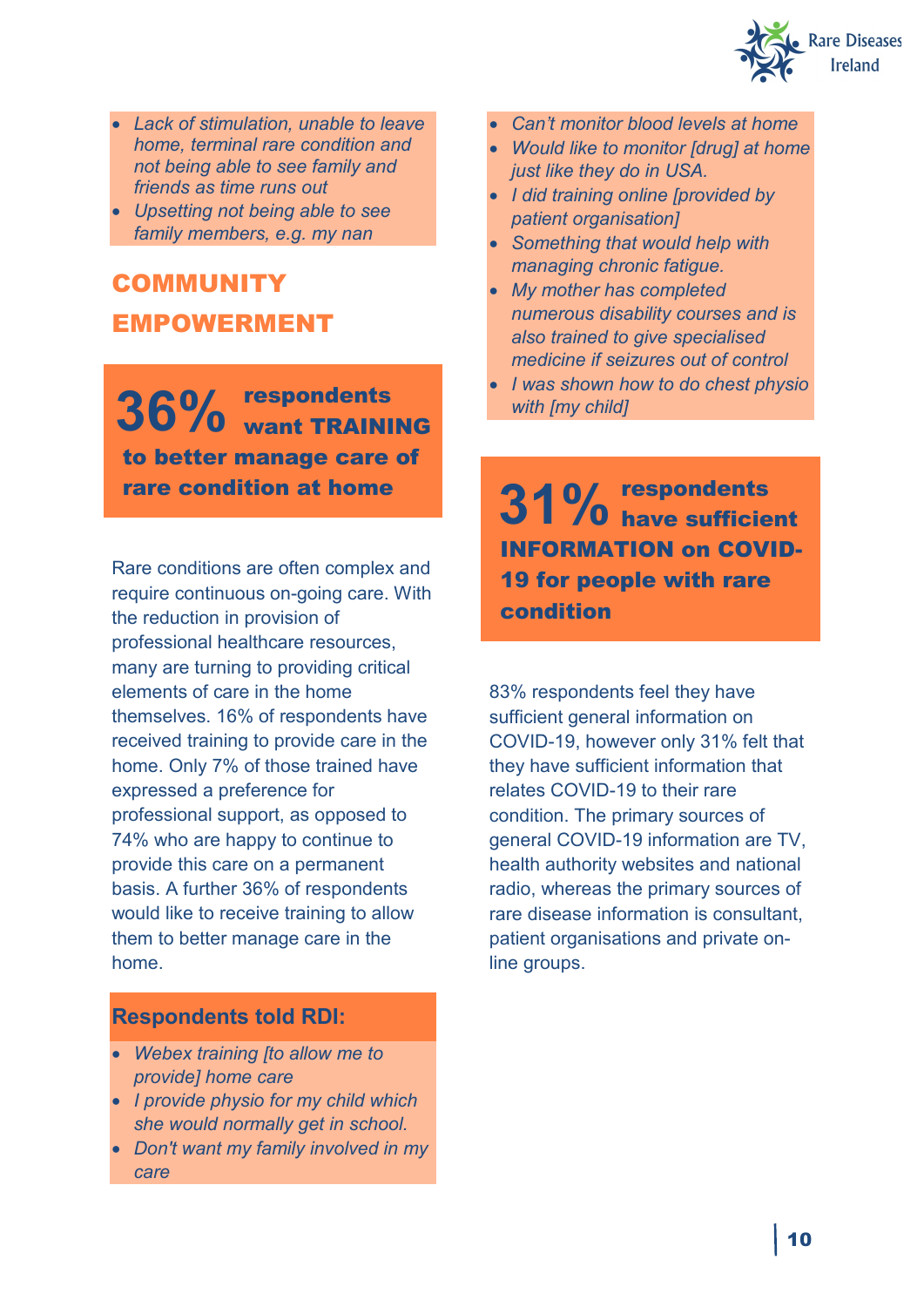

- *Lack of stimulation, unable to leave home, terminal rare condition and not being able to see family and friends as time runs out*
- *Upsetting not being able to see family members, e.g. my nan*

## COMMUNITY

#### EMPOWERMENT

respondents 36% respondents<br>36% want TRAINING to better manage care of rare condition at home

Rare conditions are often complex and require continuous on-going care. With the reduction in provision of professional healthcare resources, many are turning to providing critical elements of care in the home themselves. 16% of respondents have received training to provide care in the home. Only 7% of those trained have expressed a preference for professional support, as opposed to 74% who are happy to continue to provide this care on a permanent basis. A further 36% of respondents would like to receive training to allow them to better manage care in the home.

#### **Respondents told RDI:**

- *Webex training [to allow me to provide] home care*
- *I provide physio for my child which she would normally get in school.*
- *Don't want my family involved in my care*
- *Can't monitor blood levels at home*
- *Would like to monitor [drug] at home just like they do in USA.*
- *I did training online [provided by patient organisation]*
- *Something that would help with managing chronic fatigue.*
- *My mother has completed numerous disability courses and is also trained to give specialised medicine if seizures out of control*
- *I was shown how to do chest physio with [my child]*

respondents **31%** respondents<br>**31%** have sufficient INFORMATION on COVID-19 for people with rare condition

83% respondents feel they have sufficient general information on COVID-19, however only 31% felt that they have sufficient information that relates COVID-19 to their rare condition. The primary sources of general COVID-19 information are TV, health authority websites and national radio, whereas the primary sources of rare disease information is consultant, patient organisations and private online groups.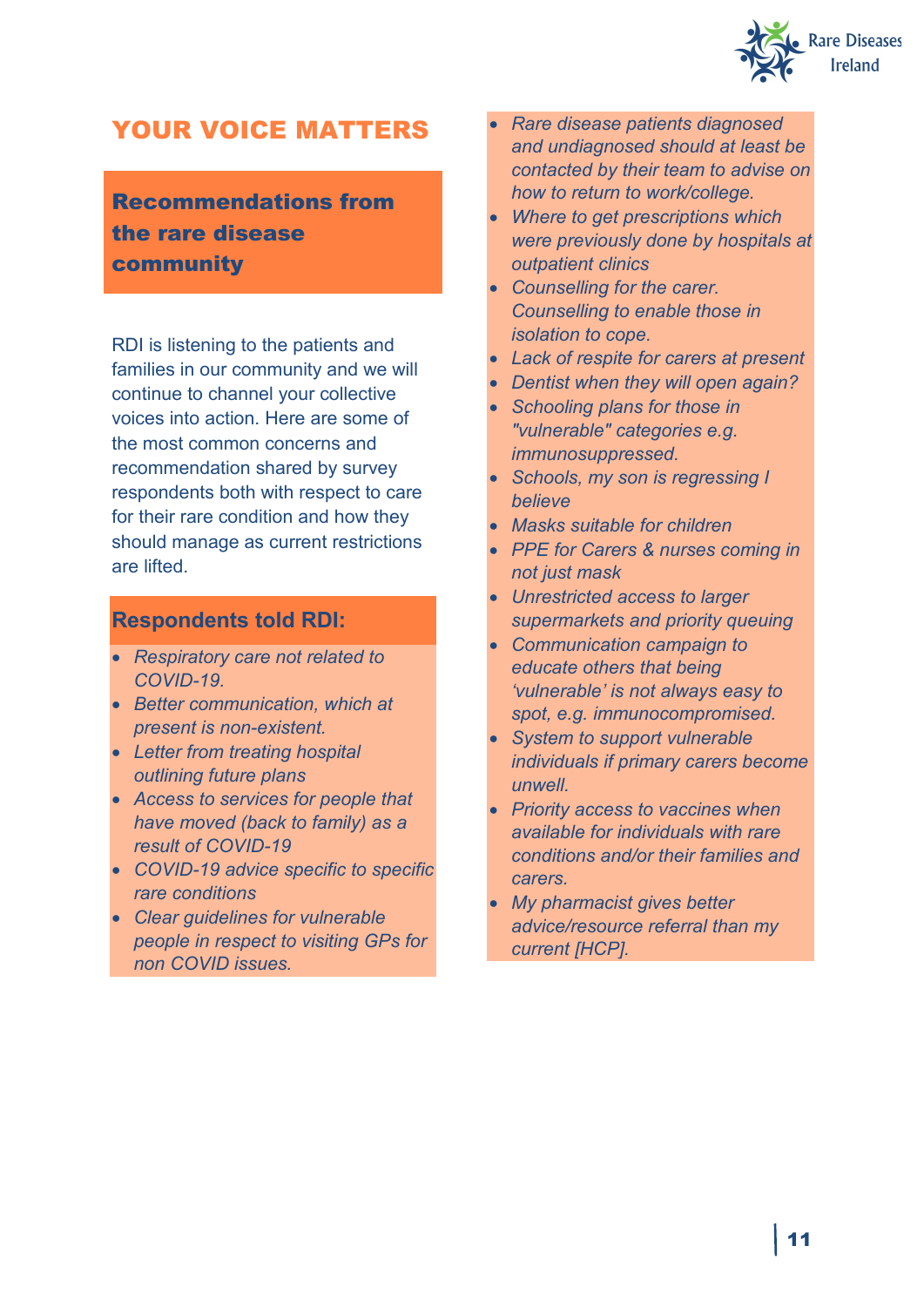

#### YOUR VOICE MATTERS

#### Recommendations from the rare disease community

RDI is listening to the patients and families in our community and we will continue to channel your collective voices into action. Here are some of the most common concerns and recommendation shared by survey respondents both with respect to care for their rare condition and how they should manage as current restrictions are lifted.

- *Respiratory care not related to COVID-19.*
- *Better communication, which at present is non-existent.*
- *Letter from treating hospital outlining future plans*
- *Access to services for people that have moved (back to family) as a result of COVID-19*
- *COVID-19 advice specific to specific rare conditions*
- *Clear guidelines for vulnerable people in respect to visiting GPs for non COVID issues.*
- *Rare disease patients diagnosed and undiagnosed should at least be contacted by their team to advise on how to return to work/college.*
- *Where to get prescriptions which were previously done by hospitals at outpatient clinics*
- *Counselling for the carer. Counselling to enable those in isolation to cope.*
- *Lack of respite for carers at present*
- *Dentist when they will open again?*
- *Schooling plans for those in "vulnerable" categories e.g. immunosuppressed.*
- *Schools, my son is regressing I believe*
- *Masks suitable for children*
- *PPE for Carers & nurses coming in not just mask*
- *Unrestricted access to larger supermarkets and priority queuing*
- *Communication campaign to educate others that being 'vulnerable' is not always easy to spot, e.g. immunocompromised.*
- *System to support vulnerable individuals if primary carers become unwell.*
- *Priority access to vaccines when available for individuals with rare conditions and/or their families and carers.*
- *My pharmacist gives better advice/resource referral than my current [HCP].*